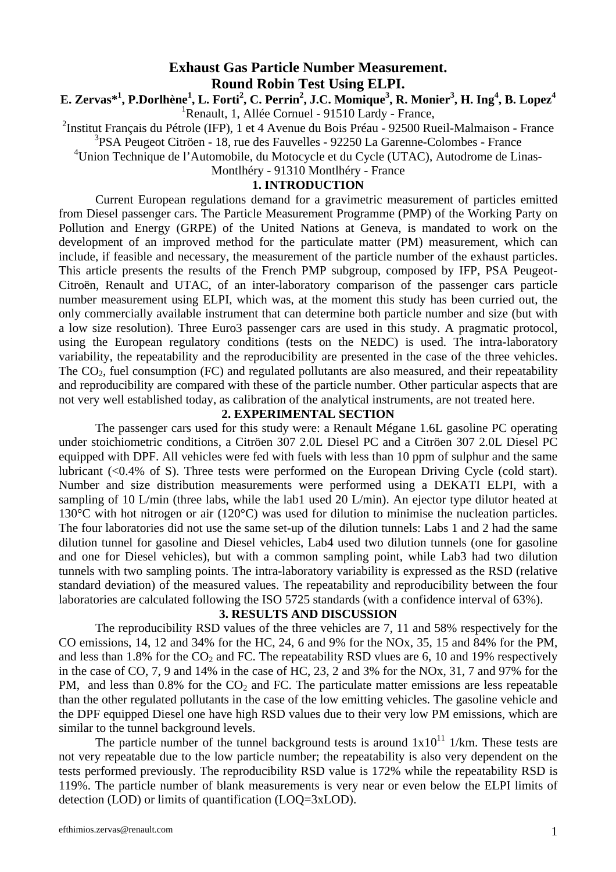#### **Exhaust Gas Particle Number Measurement. Round Robin Test Using ELPI.**

**E. Zervas\*1 , P.Dorlhène<sup>1</sup> , L. Forti<sup>2</sup> , C. Perrin2 , J.C. Momique<sup>3</sup> , R. Monier<sup>3</sup> , H. Ing<sup>4</sup> , B. Lopez4** <sup>1</sup> Renault, 1, Allée Cornuel - 91510 Lardy - France,

<sup>2</sup>Institut Français du Pétrole (IFP), 1 et 4 Avenue du Bois Préau - 92500 Rueil-Malmaison - France

3 PSA Peugeot Citröen - 18, rue des Fauvelles - 92250 La Garenne-Colombes - France

<sup>4</sup>Union Technique de l'Automobile, du Motocycle et du Cycle (UTAC), Autodrome de Linas-

Montlhéry - 91310 Montlhéry - France

#### **1. INTRODUCTION**

Current European regulations demand for a gravimetric measurement of particles emitted from Diesel passenger cars. The Particle Measurement Programme (PMP) of the Working Party on Pollution and Energy (GRPE) of the United Nations at Geneva, is mandated to work on the development of an improved method for the particulate matter (PM) measurement, which can include, if feasible and necessary, the measurement of the particle number of the exhaust particles. This article presents the results of the French PMP subgroup, composed by IFP, PSA Peugeot-Citroën, Renault and UTAC, of an inter-laboratory comparison of the passenger cars particle number measurement using ELPI, which was, at the moment this study has been curried out, the only commercially available instrument that can determine both particle number and size (but with a low size resolution). Three Euro3 passenger cars are used in this study. A pragmatic protocol, using the European regulatory conditions (tests on the NEDC) is used. The intra-laboratory variability, the repeatability and the reproducibility are presented in the case of the three vehicles. The  $CO<sub>2</sub>$ , fuel consumption (FC) and regulated pollutants are also measured, and their repeatability and reproducibility are compared with these of the particle number. Other particular aspects that are not very well established today, as calibration of the analytical instruments, are not treated here.

#### **2. EXPERIMENTAL SECTION**

The passenger cars used for this study were: a Renault Mégane 1.6L gasoline PC operating under stoichiometric conditions, a Citröen 307 2.0L Diesel PC and a Citröen 307 2.0L Diesel PC equipped with DPF. All vehicles were fed with fuels with less than 10 ppm of sulphur and the same lubricant (<0.4% of S). Three tests were performed on the European Driving Cycle (cold start). Number and size distribution measurements were performed using a DEKATI ELPI, with a sampling of 10 L/min (three labs, while the lab1 used 20 L/min). An ejector type dilutor heated at 130°C with hot nitrogen or air (120°C) was used for dilution to minimise the nucleation particles. The four laboratories did not use the same set-up of the dilution tunnels: Labs 1 and 2 had the same dilution tunnel for gasoline and Diesel vehicles, Lab4 used two dilution tunnels (one for gasoline and one for Diesel vehicles), but with a common sampling point, while Lab3 had two dilution tunnels with two sampling points. The intra-laboratory variability is expressed as the RSD (relative standard deviation) of the measured values. The repeatability and reproducibility between the four laboratories are calculated following the ISO 5725 standards (with a confidence interval of 63%).

#### **3. RESULTS AND DISCUSSION**

The reproducibility RSD values of the three vehicles are 7, 11 and 58% respectively for the CO emissions, 14, 12 and 34% for the HC, 24, 6 and 9% for the NOx, 35, 15 and 84% for the PM, and less than 1.8% for the  $CO_2$  and FC. The repeatability RSD vlues are 6, 10 and 19% respectively in the case of CO, 7, 9 and 14% in the case of HC, 23, 2 and 3% for the NOx, 31, 7 and 97% for the PM, and less than  $0.8\%$  for the CO<sub>2</sub> and FC. The particulate matter emissions are less repeatable than the other regulated pollutants in the case of the low emitting vehicles. The gasoline vehicle and the DPF equipped Diesel one have high RSD values due to their very low PM emissions, which are similar to the tunnel background levels.

The particle number of the tunnel background tests is around  $1x10^{11}$  1/km. These tests are not very repeatable due to the low particle number; the repeatability is also very dependent on the tests performed previously. The reproducibility RSD value is 172% while the repeatability RSD is 119%. The particle number of blank measurements is very near or even below the ELPI limits of detection (LOD) or limits of quantification (LOQ=3xLOD).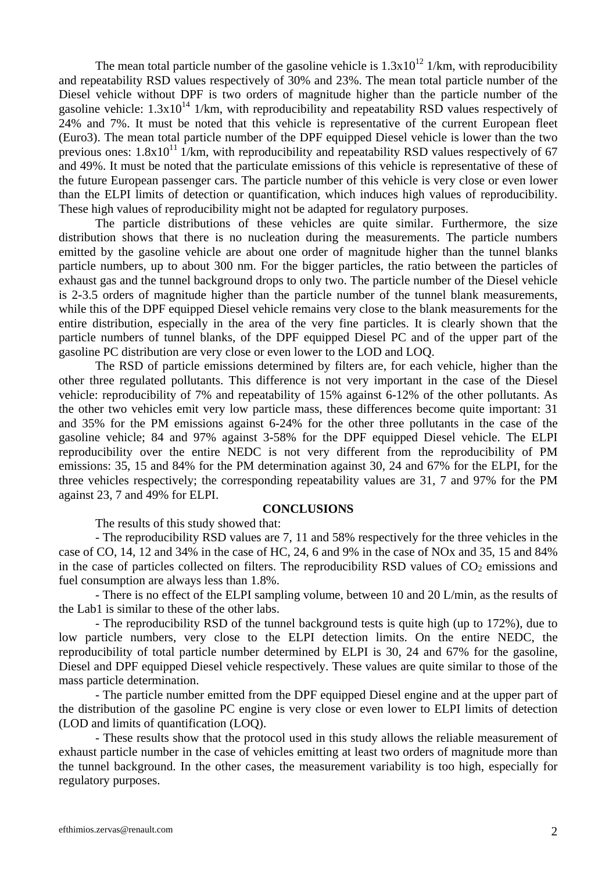The mean total particle number of the gasoline vehicle is  $1.3x10^{12}$  1/km, with reproducibility and repeatability RSD values respectively of 30% and 23%. The mean total particle number of the Diesel vehicle without DPF is two orders of magnitude higher than the particle number of the gasoline vehicle:  $1.3x10^{14}$  1/km, with reproducibility and repeatability RSD values respectively of 24% and 7%. It must be noted that this vehicle is representative of the current European fleet (Euro3). The mean total particle number of the DPF equipped Diesel vehicle is lower than the two previous ones:  $1.8x10^{11}$  1/km, with reproducibility and repeatability RSD values respectively of 67 and 49%. It must be noted that the particulate emissions of this vehicle is representative of these of the future European passenger cars. The particle number of this vehicle is very close or even lower than the ELPI limits of detection or quantification, which induces high values of reproducibility. These high values of reproducibility might not be adapted for regulatory purposes.

The particle distributions of these vehicles are quite similar. Furthermore, the size distribution shows that there is no nucleation during the measurements. The particle numbers emitted by the gasoline vehicle are about one order of magnitude higher than the tunnel blanks particle numbers, up to about 300 nm. For the bigger particles, the ratio between the particles of exhaust gas and the tunnel background drops to only two. The particle number of the Diesel vehicle is 2-3.5 orders of magnitude higher than the particle number of the tunnel blank measurements, while this of the DPF equipped Diesel vehicle remains very close to the blank measurements for the entire distribution, especially in the area of the very fine particles. It is clearly shown that the particle numbers of tunnel blanks, of the DPF equipped Diesel PC and of the upper part of the gasoline PC distribution are very close or even lower to the LOD and LOQ.

The RSD of particle emissions determined by filters are, for each vehicle, higher than the other three regulated pollutants. This difference is not very important in the case of the Diesel vehicle: reproducibility of 7% and repeatability of 15% against 6-12% of the other pollutants. As the other two vehicles emit very low particle mass, these differences become quite important: 31 and 35% for the PM emissions against 6-24% for the other three pollutants in the case of the gasoline vehicle; 84 and 97% against 3-58% for the DPF equipped Diesel vehicle. The ELPI reproducibility over the entire NEDC is not very different from the reproducibility of PM emissions: 35, 15 and 84% for the PM determination against 30, 24 and 67% for the ELPI, for the three vehicles respectively; the corresponding repeatability values are 31, 7 and 97% for the PM against 23, 7 and 49% for ELPI.

#### **CONCLUSIONS**

The results of this study showed that:

- The reproducibility RSD values are 7, 11 and 58% respectively for the three vehicles in the case of CO, 14, 12 and 34% in the case of HC, 24, 6 and 9% in the case of NOx and 35, 15 and 84% in the case of particles collected on filters. The reproducibility RSD values of  $CO<sub>2</sub>$  emissions and fuel consumption are always less than 1.8%.

- There is no effect of the ELPI sampling volume, between 10 and 20 L/min, as the results of the Lab1 is similar to these of the other labs.

- The reproducibility RSD of the tunnel background tests is quite high (up to 172%), due to low particle numbers, very close to the ELPI detection limits. On the entire NEDC, the reproducibility of total particle number determined by ELPI is 30, 24 and 67% for the gasoline, Diesel and DPF equipped Diesel vehicle respectively. These values are quite similar to those of the mass particle determination.

- The particle number emitted from the DPF equipped Diesel engine and at the upper part of the distribution of the gasoline PC engine is very close or even lower to ELPI limits of detection (LOD and limits of quantification (LOQ).

- These results show that the protocol used in this study allows the reliable measurement of exhaust particle number in the case of vehicles emitting at least two orders of magnitude more than the tunnel background. In the other cases, the measurement variability is too high, especially for regulatory purposes.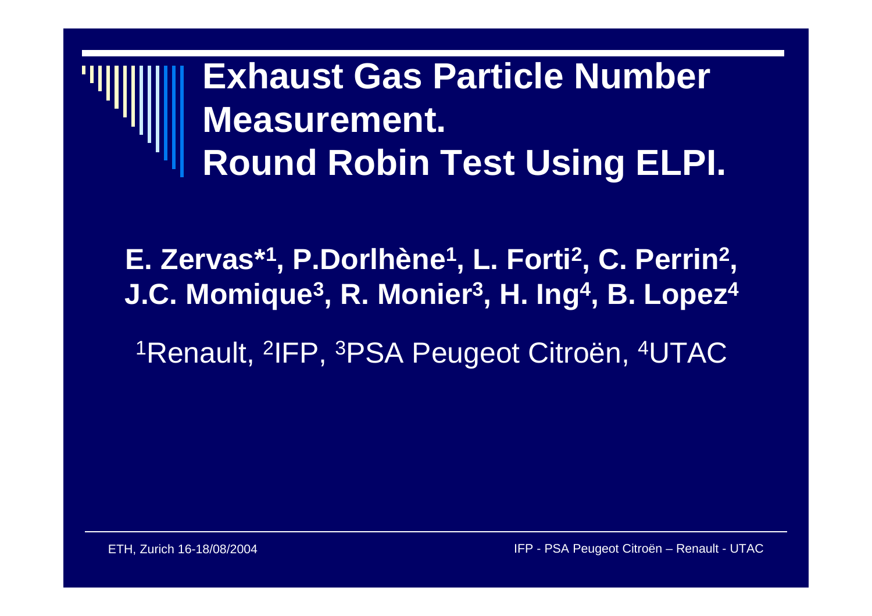### **Exhaust Gas Particle Number Measurement. Round Robin Test Using ELPI.**

**E. Zervas\*1, P.Dorlhène1, L. Forti2, C. Perrin2, J.C. Momique3, R. Monier3, H. Ing4, B. Lopez4** 1Renault, 2IFP, 3PSA Peugeot Citroën, 4UTAC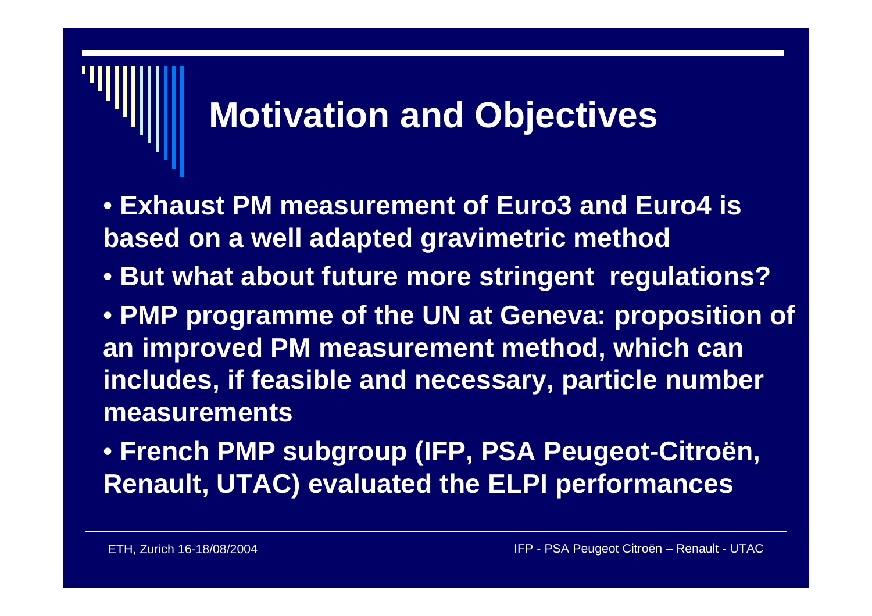### **Motivation and Objectives**

- **Exhaust PM measurement of Euro3 and Euro4 is based on a well adapted gravimetric method**
- **But what about future more stringent regulations?**
- **PMP programme of the UN at Geneva: proposition of an improved PM measurement method, which can includes, if feasible and necessary, particle number measurements**
- **French PMP subgroup (IFP, PSA Peugeot-Citroën, Renault, UTAC) evaluated the ELPI performances**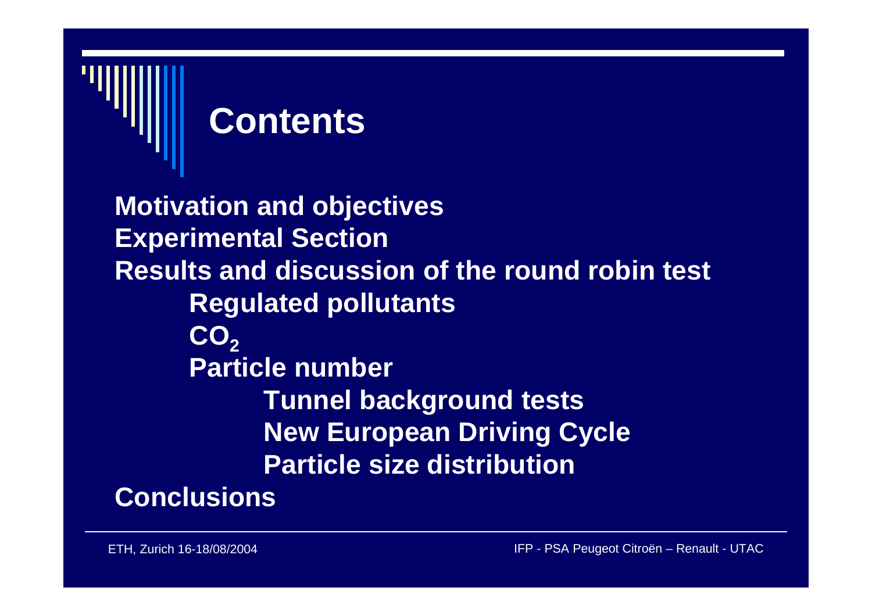# **Contents**

**Motivation and objectives Experimental Section Results and discussion of the round robin test Regulated pollutants** CO<sub>2</sub> **Particle numberTunnel background tests New European Driving Cycle Particle size distribution**

#### **Conclusions**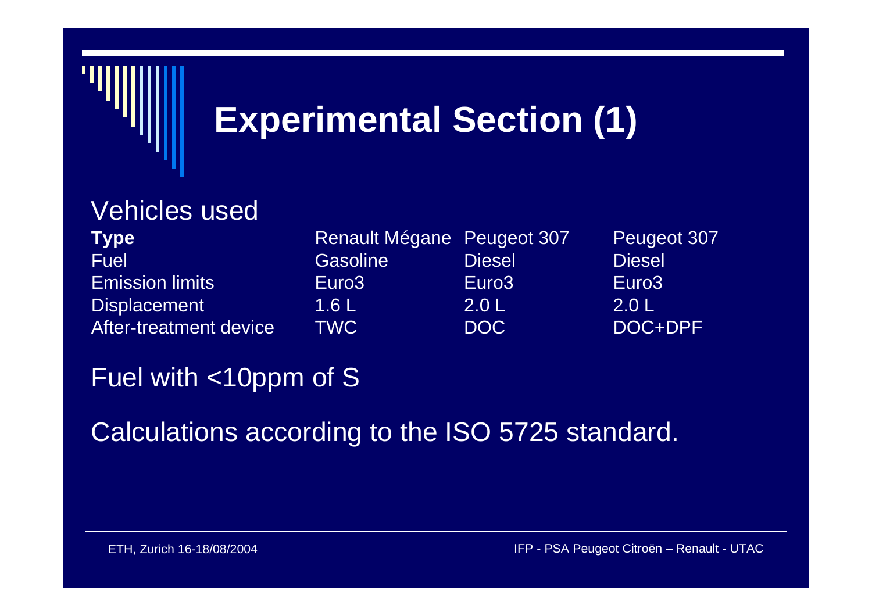

#### Vehicles used

Fuel Gasoline Emission limitsAfter-treatment device

**Type** Renault Mégane Peugeot 307 Peugeot 307 Diesel Diesel Euro3 Euro3 Euro3 Displacement 1.6 L 2.0 L 2.0 L TWC

DOC DOC+DPF

#### Fuel with <10ppm of S

Calculations according to the ISO 5725 standard.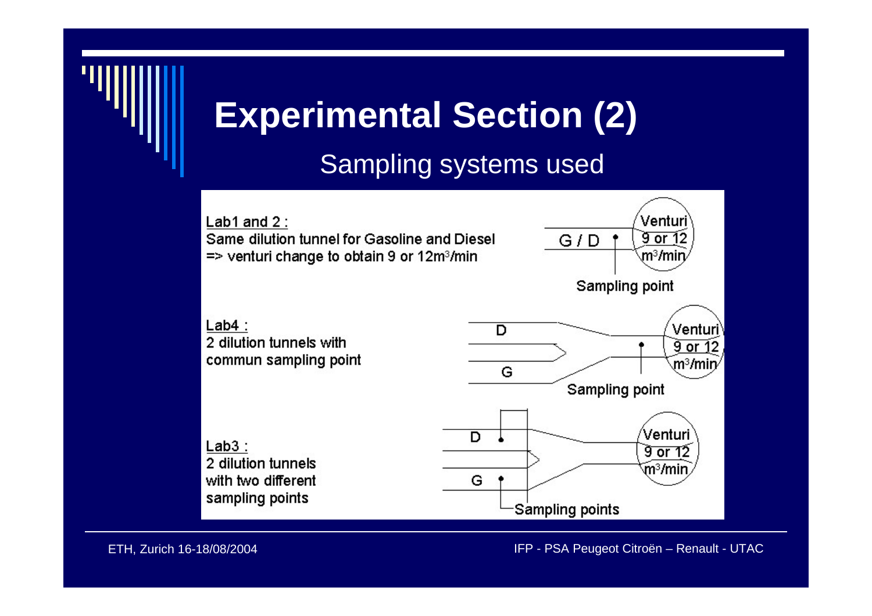# **Experimental Section (2)**

#### Sampling systems used

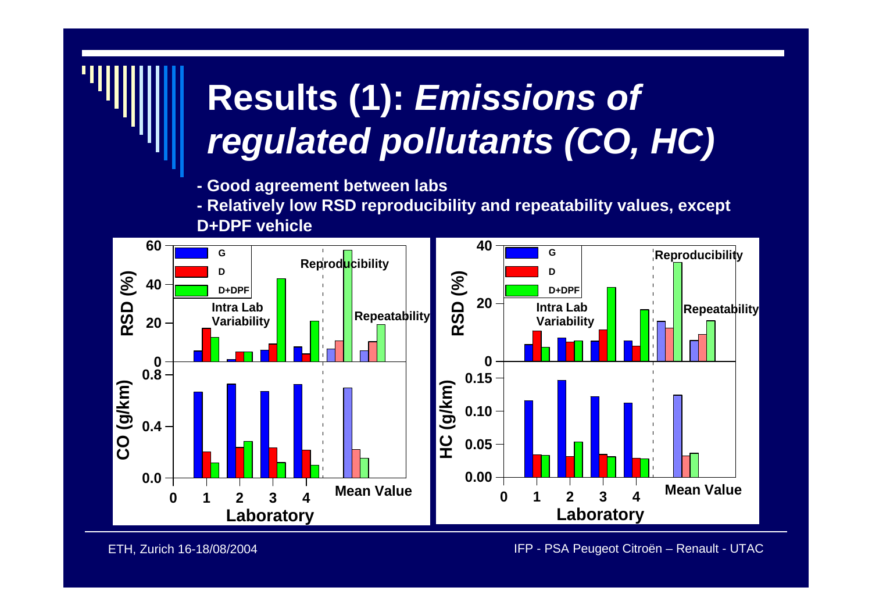# **Results (1):** *Emissions of regulated pollutants (CO, HC)*

- **- Good agreement between labs**
- **- Relatively low RSD reproducibility and repeatability values, except D+DPF vehicle**



ETH, Zurich 16-18/08/2004 IFP - PSA Peugeot Citroën – Renault - UTAC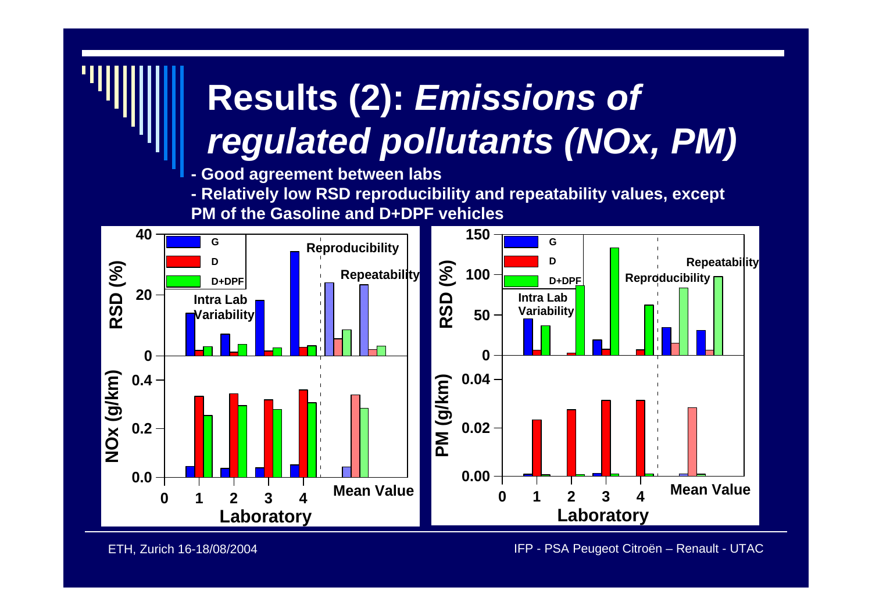# **Results (2):** *Emissions of regulated pollutants (NOx, PM)*

**-Good agreement between labs**

**- Relatively low RSD reproducibility and repeatability values, except** 

**PM of the Gasoline and D+DPF vehicles** 



ETH, Zurich 16-18/08/2004 IFP - PSA Peugeot Citroën – Renault - UTAC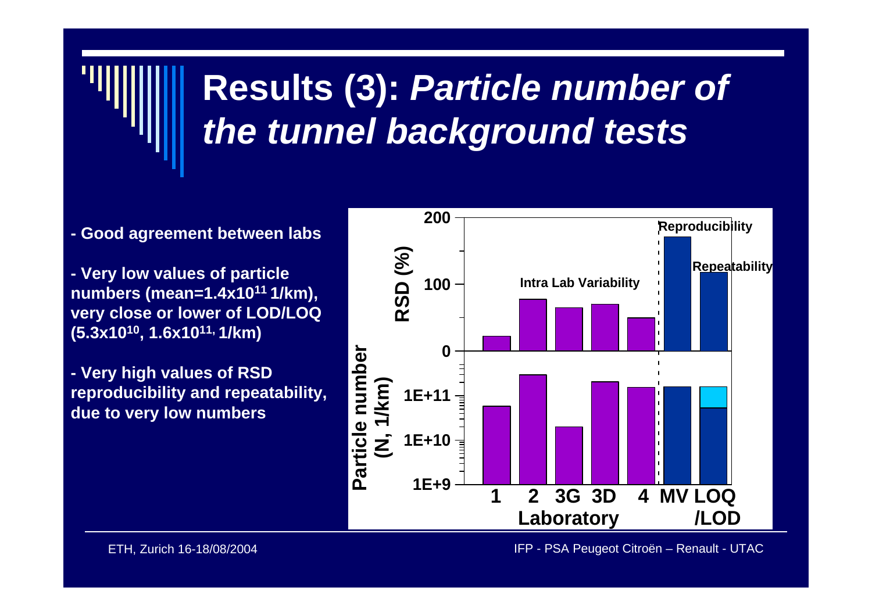# **Results (3):** *Particle number of the tunnel background tests*

- **- Good agreement between labs**
- **- Very low values of particle numbers (mean=1.4x1011 1/km), very close or lower of LOD/LOQ (5.3x1010, 1.6x1011, 1/km)**
- **- Very high values of RSD reproducibility and repeatability, due to very low numbers**

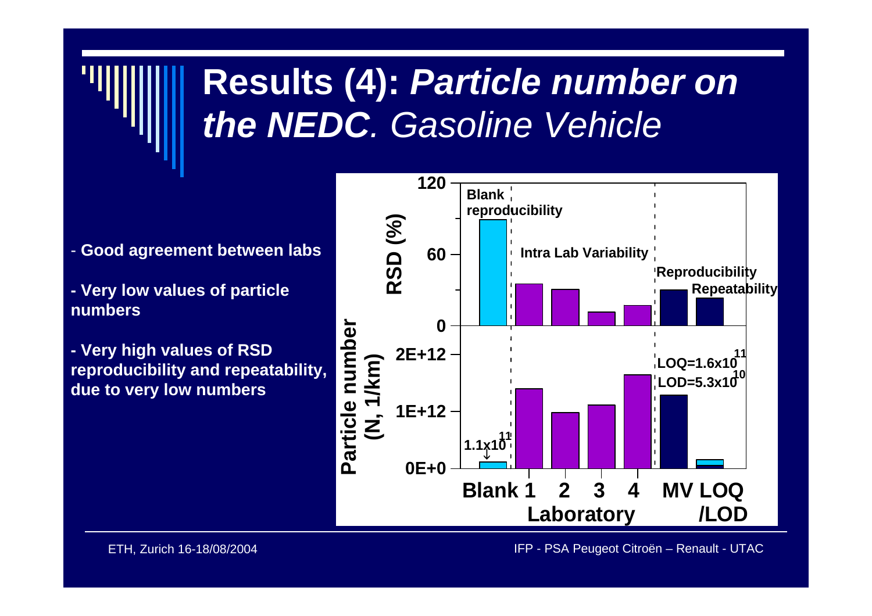## **Results (4):** *Particle number on the NEDC. Gasoline Vehicle*

- **Good agreement between labs**
- **- Very low values of particle numbers**
- **- Very high values of RSD reproducibility and repeatability, due to very low numbers**

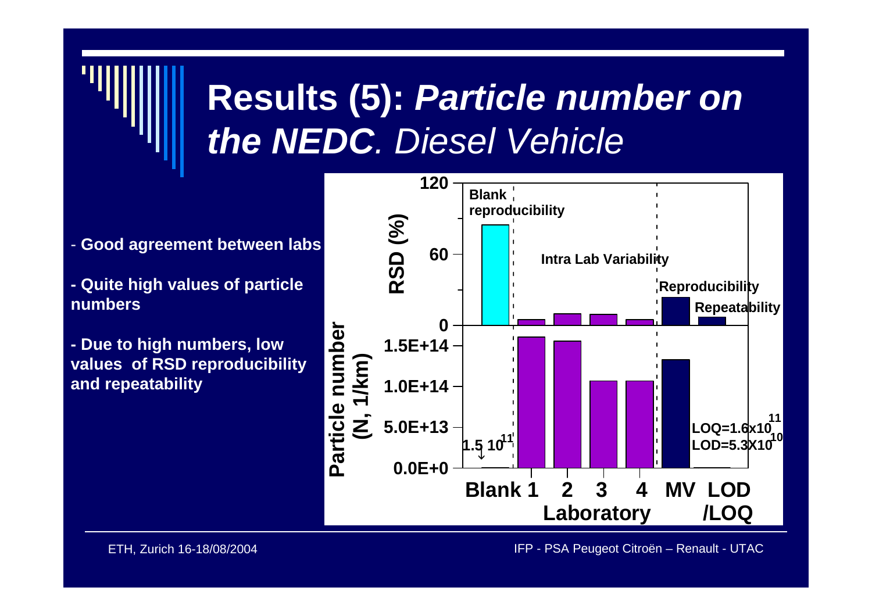# **Results (5):** *Particle number on the NEDC. Diesel Vehicle*

- **Good agreement between labs**
- **- Quite high values of particle numbers**
- **- Due to high numbers, low values of RSD reprod u cibility and repeatabilit y**

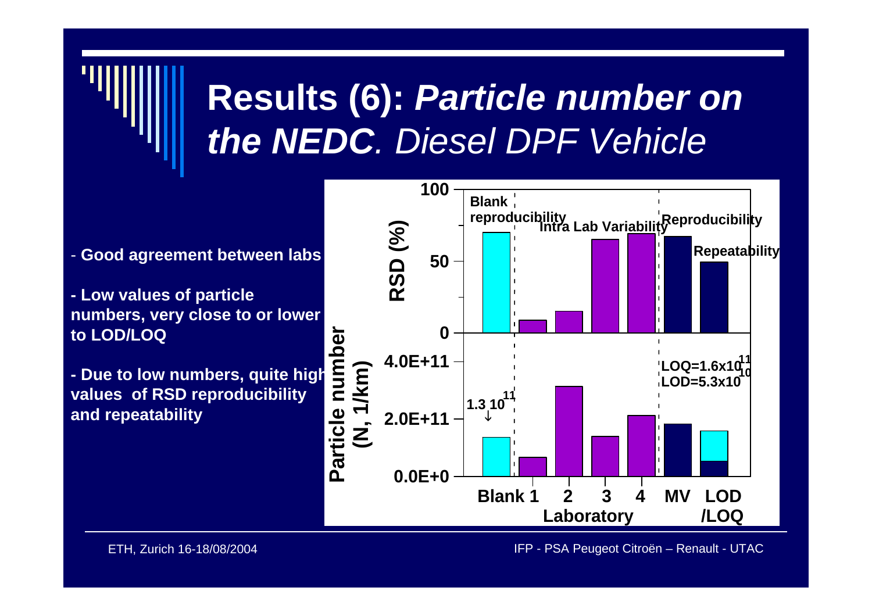# **Results (6):** *Particle number on the NEDC. Diesel DPF Vehicle*

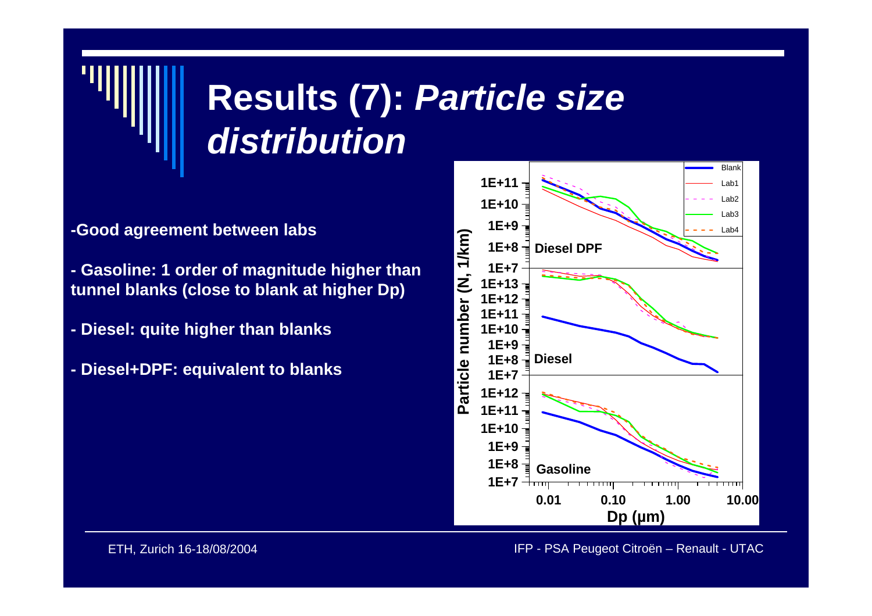# **Results (7):** *Particle size distribution*

- **-Good agreement between labs**
- **- Gasoline: 1 order of magnitude higher than tunnel blanks (close to blank at higher Dp)**
- **- Diesel: quite higher than blanks**
- **- Diesel+DPF: equivalent to blanks**

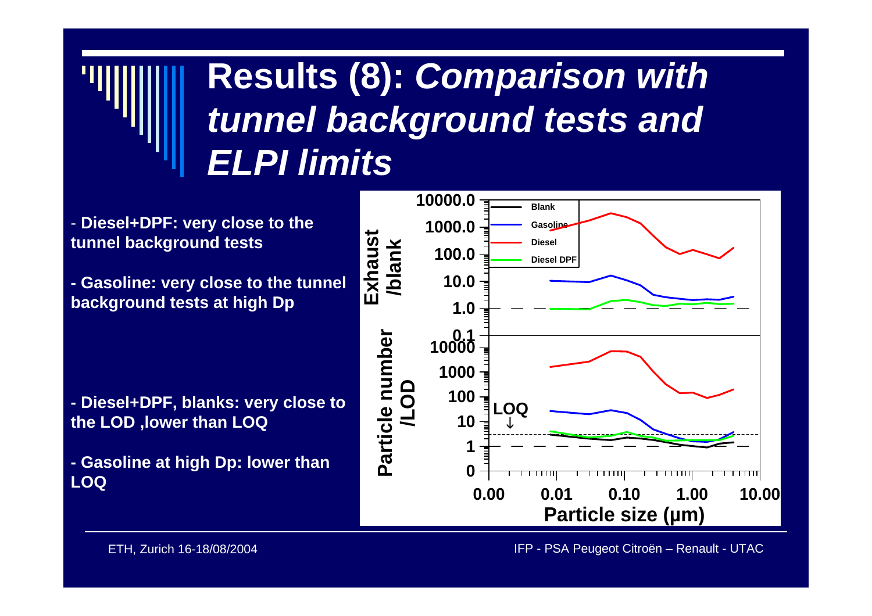### **Results (8):** *Comparison with tunnel background tests and ELPI limits*

- Diesel+DPF: very close to the **tunnel background tests**

**- Gasoline: very close t o the tunnel background tests at high Dp**

**- Diesel+DPF, blanks: very close to the LOD ,lower than LOQ**

**- Gasoline at high Dp: lower than LOQ 0.00**



ETH, Zurich 16-18/08/2004 IFP - PSA Peugeot Citroën – Renault - UTAC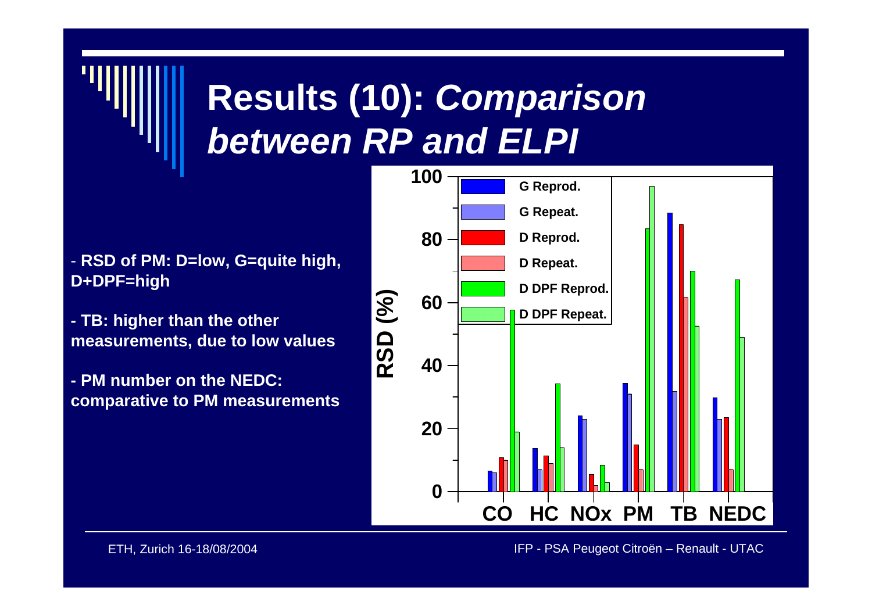## **Results (10):** *Comparison between RP and ELPI*

- **RSD of PM: D=low, G=quite high, D+DPF=high**
- **- TB: higher than the other measurements, due to low values**
- **- PM number on the NEDC: comparative to PM measurements**